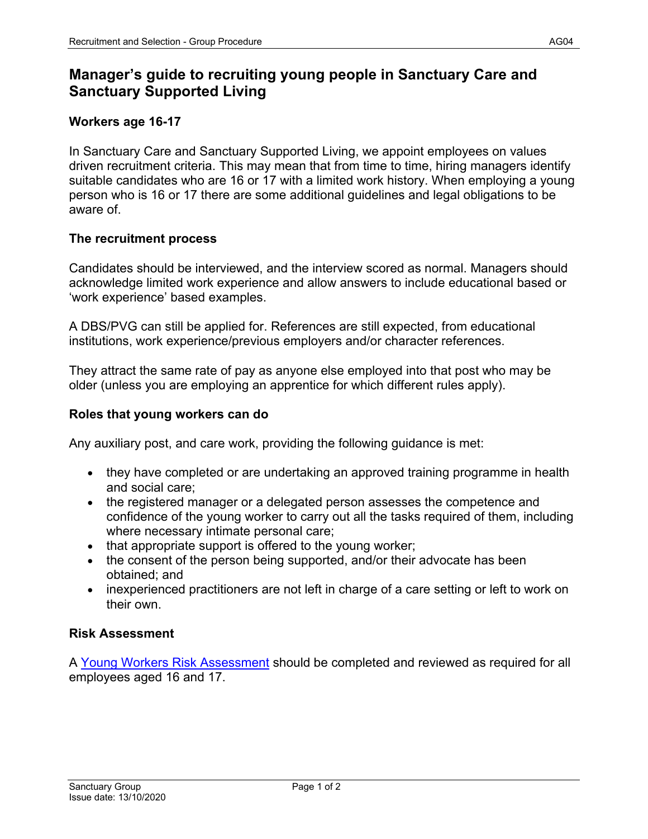# **Manager's guide to recruiting young people in Sanctuary Care and Sanctuary Supported Living**

# **Workers age 16-17**

In Sanctuary Care and Sanctuary Supported Living, we appoint employees on values driven recruitment criteria. This may mean that from time to time, hiring managers identify suitable candidates who are 16 or 17 with a limited work history. When employing a young person who is 16 or 17 there are some additional guidelines and legal obligations to be aware of.

# **The recruitment process**

Candidates should be interviewed, and the interview scored as normal. Managers should acknowledge limited work experience and allow answers to include educational based or 'work experience' based examples.

A DBS/PVG can still be applied for. References are still expected, from educational institutions, work experience/previous employers and/or character references.

They attract the same rate of pay as anyone else employed into that post who may be older (unless you are employing an apprentice for which different rules apply).

## **Roles that young workers can do**

Any auxiliary post, and care work, providing the following guidance is met:

- they have completed or are undertaking an approved training programme in health and social care;
- the registered manager or a delegated person assesses the competence and confidence of the young worker to carry out all the tasks required of them, including where necessary intimate personal care;
- that appropriate support is offered to the young worker;
- the consent of the person being supported, and/or their advocate has been obtained; and
- inexperienced practitioners are not left in charge of a care setting or left to work on their own.

## **Risk Assessment**

A [Young Workers Risk Assessment](https://solis/SG/SCare/HS/_layouts/15/WopiFrame.aspx?sourcedoc=%7B3A9205D2-1FC8-452E-B756-5F34B56D2005%7D&file=Young%20Workers%20Generic%20Risk%20Assessment.doc&action=default&DefaultItemOpen=1) should be completed and reviewed as required for all employees aged 16 and 17.